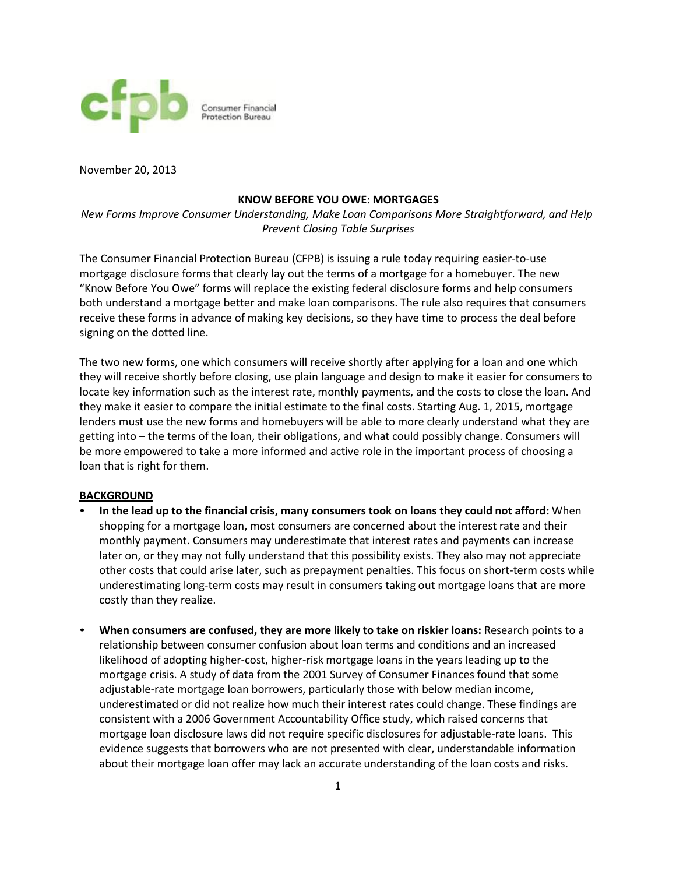

November 20, 2013

## **KNOW BEFORE YOU OWE: MORTGAGES**

*New Forms Improve Consumer Understanding, Make Loan Comparisons More Straightforward, and Help Prevent Closing Table Surprises*

The Consumer Financial Protection Bureau (CFPB) is issuing a rule today requiring easier-to-use mortgage disclosure forms that clearly lay out the terms of a mortgage for a homebuyer. The new "Know Before You Owe" forms will replace the existing federal disclosure forms and help consumers both understand a mortgage better and make loan comparisons. The rule also requires that consumers receive these forms in advance of making key decisions, so they have time to process the deal before signing on the dotted line.

The two new forms, one which consumers will receive shortly after applying for a loan and one which they will receive shortly before closing, use plain language and design to make it easier for consumers to locate key information such as the interest rate, monthly payments, and the costs to close the loan. And they make it easier to compare the initial estimate to the final costs. Starting Aug. 1, 2015, mortgage lenders must use the new forms and homebuyers will be able to more clearly understand what they are getting into – the terms of the loan, their obligations, and what could possibly change. Consumers will be more empowered to take a more informed and active role in the important process of choosing a loan that is right for them.

## **BACKGROUND**

- **In the lead up to the financial crisis, many consumers took on loans they could not afford:** When shopping for a mortgage loan, most consumers are concerned about the interest rate and their monthly payment. Consumers may underestimate that interest rates and payments can increase later on, or they may not fully understand that this possibility exists. They also may not appreciate other costs that could arise later, such as prepayment penalties. This focus on short-term costs while underestimating long-term costs may result in consumers taking out mortgage loans that are more costly than they realize.
- **When consumers are confused, they are more likely to take on riskier loans:** Research points to a relationship between consumer confusion about loan terms and conditions and an increased likelihood of adopting higher-cost, higher-risk mortgage loans in the years leading up to the mortgage crisis. A study of data from the 2001 Survey of Consumer Finances found that some adjustable-rate mortgage loan borrowers, particularly those with below median income, underestimated or did not realize how much their interest rates could change. These findings are consistent with a 2006 Government Accountability Office study, which raised concerns that mortgage loan disclosure laws did not require specific disclosures for adjustable-rate loans. This evidence suggests that borrowers who are not presented with clear, understandable information about their mortgage loan offer may lack an accurate understanding of the loan costs and risks.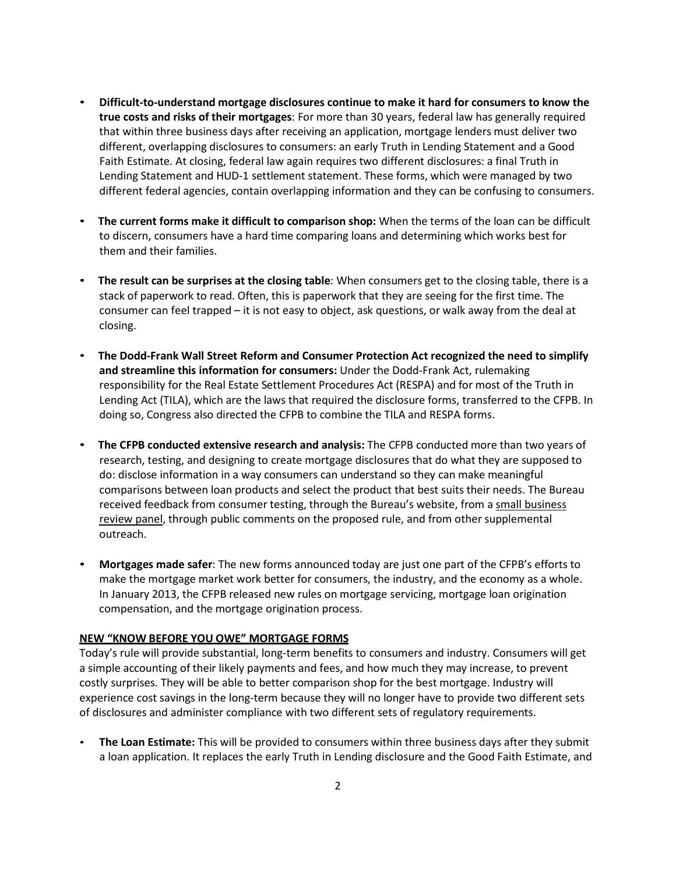- **Difficult-to-understand mortgage disclosures continue to make it hard for consumers to know the true costs and risks of their mortgages**: For more than 30 years, federal law has generally required that within three business days after receiving an application, mortgage lenders must deliver two different, overlapping disclosures to consumers: an early Truth in Lending Statement and a Good Faith Estimate. At closing, federal law again requires two different disclosures: a final Truth in Lending Statement and HUD-1 settlement statement. These forms, which were managed by two different federal agencies, contain overlapping information and they can be confusing to consumers.
- **The current forms make it difficult to comparison shop:** When the terms of the loan can be difficult to discern, consumers have a hard time comparing loans and determining which works best for them and their families.
- **The result can be surprises at the closing table**: When consumers get to the closing table, there is a stack of paperwork to read. Often, this is paperwork that they are seeing for the first time. The consumer can feel trapped – it is not easy to object, ask questions, or walk away from the deal at closing.
- **The Dodd-Frank Wall Street Reform and Consumer Protection Act recognized the need to simplify and streamline this information for consumers:** Under the Dodd-Frank Act, rulemaking responsibility for the Real Estate Settlement Procedures Act (RESPA) and for most of the Truth in Lending Act (TILA), which are the laws that required the disclosure forms, transferred to the CFPB. In doing so, Congress also directed the CFPB to combine the TILA and RESPA forms.
- **The CFPB conducted extensive research and analysis:** The CFPB conducted more than two years of research, testing, and designing to create mortgage disclosures that do what they are supposed to do: disclose information in a way consumers can understand so they can make meaningful comparisons between loan products and select the product that best suits their needs. The Bureau received feedback from consumer testing, through the Bureau's website, from a [small business](http://files.consumerfinance.gov/f/201207_cfpb_report_tila-respa-sbrefa-feedback.pdf) [review](http://files.consumerfinance.gov/f/201207_cfpb_report_tila-respa-sbrefa-feedback.pdf) panel, through public comments on the proposed rule, and from other supplemental outreach.
- **Mortgages made safer**: The new forms announced today are just one part of the CFPB's efforts to make the mortgage market work better for consumers, the industry, and the economy as a whole. In January 2013, the CFPB released new rules on mortgage servicing, mortgage loan origination compensation, and the mortgage origination process.

## **NEW "KNOW BEFORE YOU OWE" MORTGAGE FORMS**

Today's rule will provide substantial, long-term benefits to consumers and industry. Consumers will get a simple accounting of their likely payments and fees, and how much they may increase, to prevent costly surprises. They will be able to better comparison shop for the best mortgage. Industry will experience cost savings in the long-term because they will no longer have to provide two different sets of disclosures and administer compliance with two different sets of regulatory requirements.

• **The Loan Estimate:** This will be provided to consumers within three business days after they submit a loan application. It replaces the early Truth in Lending disclosure and the Good Faith Estimate, and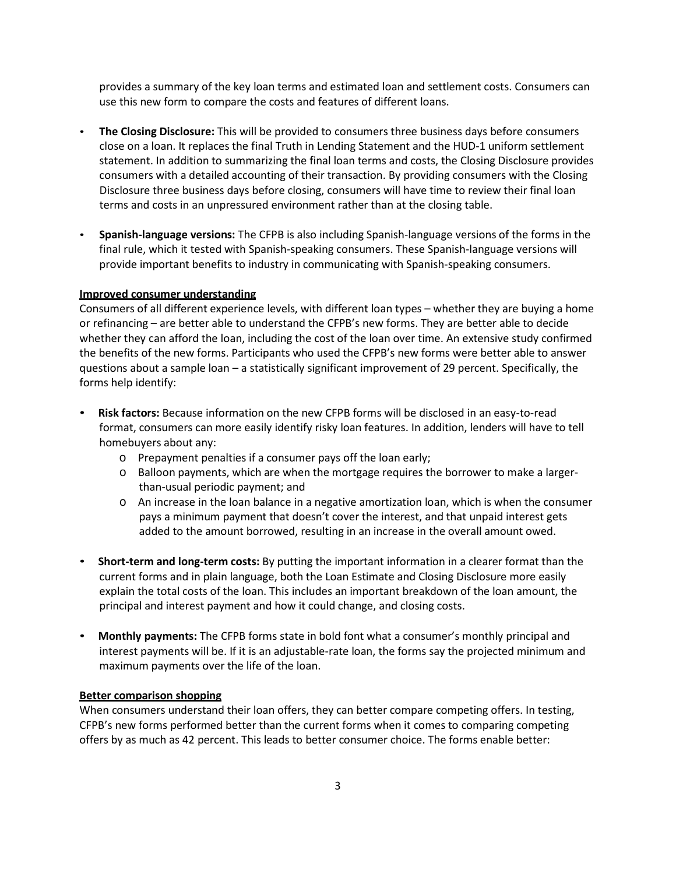provides a summary of the key loan terms and estimated loan and settlement costs. Consumers can use this new form to compare the costs and features of different loans.

- **The Closing Disclosure:** This will be provided to consumers three business days before consumers close on a loan. It replaces the final Truth in Lending Statement and the HUD-1 uniform settlement statement. In addition to summarizing the final loan terms and costs, the Closing Disclosure provides consumers with a detailed accounting of their transaction. By providing consumers with the Closing Disclosure three business days before closing, consumers will have time to review their final loan terms and costs in an unpressured environment rather than at the closing table.
- **Spanish-language versions:** The CFPB is also including Spanish-language versions of the forms in the final rule, which it tested with Spanish-speaking consumers. These Spanish-language versions will provide important benefits to industry in communicating with Spanish-speaking consumers.

## **Improved consumer understanding**

Consumers of all different experience levels, with different loan types – whether they are buying a home or refinancing – are better able to understand the CFPB's new forms. They are better able to decide whether they can afford the loan, including the cost of the loan over time. An extensive study confirmed the benefits of the new forms. Participants who used the CFPB's new forms were better able to answer questions about a sample loan – a statistically significant improvement of 29 percent. Specifically, the forms help identify:

- **Risk factors:** Because information on the new CFPB forms will be disclosed in an easy-to-read format, consumers can more easily identify risky loan features. In addition, lenders will have to tell homebuyers about any:
	- o Prepayment penalties if a consumer pays off the loan early;
	- o Balloon payments, which are when the mortgage requires the borrower to make a largerthan-usual periodic payment; and
	- o An increase in the loan balance in a negative amortization loan, which is when the consumer pays a minimum payment that doesn't cover the interest, and that unpaid interest gets added to the amount borrowed, resulting in an increase in the overall amount owed.
- **Short-term and long-term costs:** By putting the important information in a clearer format than the current forms and in plain language, both the Loan Estimate and Closing Disclosure more easily explain the total costs of the loan. This includes an important breakdown of the loan amount, the principal and interest payment and how it could change, and closing costs.
- **Monthly payments:** The CFPB forms state in bold font what a consumer's monthly principal and interest payments will be. If it is an adjustable-rate loan, the forms say the projected minimum and maximum payments over the life of the loan.

#### **Better comparison shopping**

When consumers understand their loan offers, they can better compare competing offers. In testing, CFPB's new forms performed better than the current forms when it comes to comparing competing offers by as much as 42 percent. This leads to better consumer choice. The forms enable better: